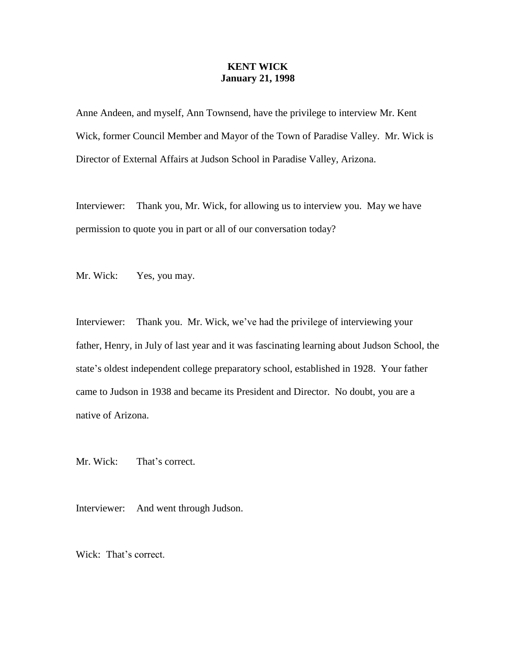## **KENT WICK January 21, 1998**

Anne Andeen, and myself, Ann Townsend, have the privilege to interview Mr. Kent Wick, former Council Member and Mayor of the Town of Paradise Valley. Mr. Wick is Director of External Affairs at Judson School in Paradise Valley, Arizona.

Interviewer: Thank you, Mr. Wick, for allowing us to interview you. May we have permission to quote you in part or all of our conversation today?

Mr. Wick: Yes, you may.

Interviewer: Thank you. Mr. Wick, we've had the privilege of interviewing your father, Henry, in July of last year and it was fascinating learning about Judson School, the state's oldest independent college preparatory school, established in 1928. Your father came to Judson in 1938 and became its President and Director. No doubt, you are a native of Arizona.

Mr. Wick: That's correct.

Interviewer: And went through Judson.

Wick: That's correct.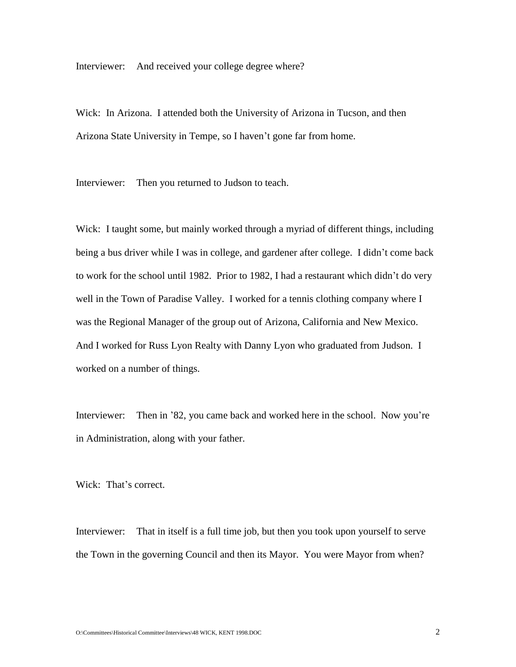Interviewer: And received your college degree where?

Wick: In Arizona. I attended both the University of Arizona in Tucson, and then Arizona State University in Tempe, so I haven't gone far from home.

Interviewer: Then you returned to Judson to teach.

Wick: I taught some, but mainly worked through a myriad of different things, including being a bus driver while I was in college, and gardener after college. I didn't come back to work for the school until 1982. Prior to 1982, I had a restaurant which didn't do very well in the Town of Paradise Valley. I worked for a tennis clothing company where I was the Regional Manager of the group out of Arizona, California and New Mexico. And I worked for Russ Lyon Realty with Danny Lyon who graduated from Judson. I worked on a number of things.

Interviewer: Then in '82, you came back and worked here in the school. Now you're in Administration, along with your father.

Wick: That's correct.

Interviewer: That in itself is a full time job, but then you took upon yourself to serve the Town in the governing Council and then its Mayor. You were Mayor from when?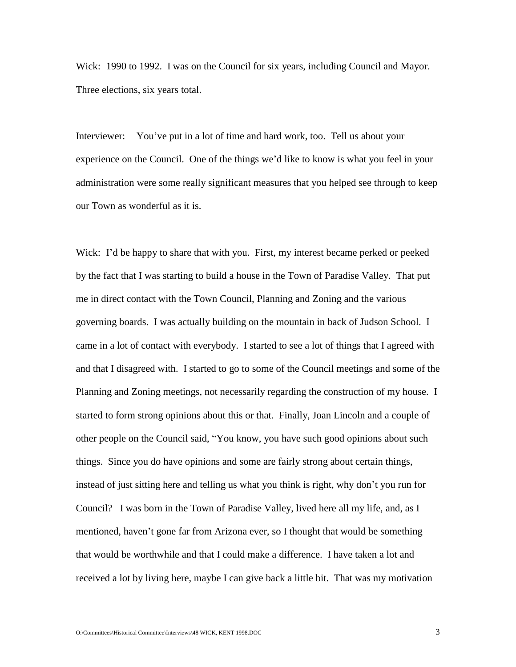Wick: 1990 to 1992. I was on the Council for six years, including Council and Mayor. Three elections, six years total.

Interviewer: You've put in a lot of time and hard work, too. Tell us about your experience on the Council. One of the things we'd like to know is what you feel in your administration were some really significant measures that you helped see through to keep our Town as wonderful as it is.

Wick: I'd be happy to share that with you. First, my interest became perked or peeked by the fact that I was starting to build a house in the Town of Paradise Valley. That put me in direct contact with the Town Council, Planning and Zoning and the various governing boards. I was actually building on the mountain in back of Judson School. I came in a lot of contact with everybody. I started to see a lot of things that I agreed with and that I disagreed with. I started to go to some of the Council meetings and some of the Planning and Zoning meetings, not necessarily regarding the construction of my house. I started to form strong opinions about this or that. Finally, Joan Lincoln and a couple of other people on the Council said, "You know, you have such good opinions about such things. Since you do have opinions and some are fairly strong about certain things, instead of just sitting here and telling us what you think is right, why don't you run for Council? I was born in the Town of Paradise Valley, lived here all my life, and, as I mentioned, haven't gone far from Arizona ever, so I thought that would be something that would be worthwhile and that I could make a difference. I have taken a lot and received a lot by living here, maybe I can give back a little bit. That was my motivation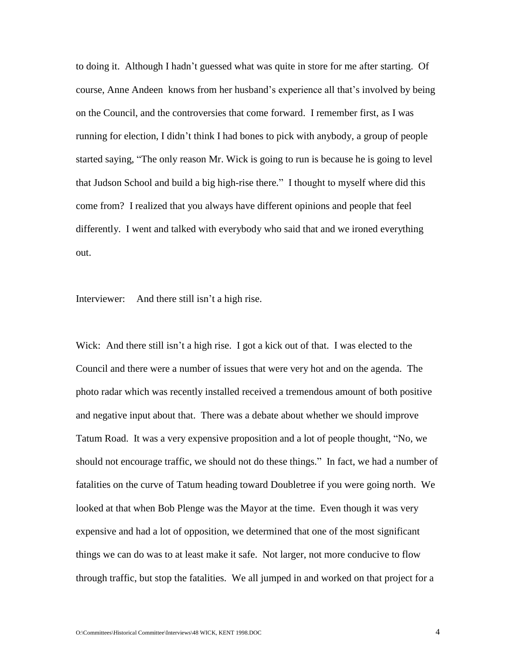to doing it. Although I hadn't guessed what was quite in store for me after starting. Of course, Anne Andeen knows from her husband's experience all that's involved by being on the Council, and the controversies that come forward. I remember first, as I was running for election, I didn't think I had bones to pick with anybody, a group of people started saying, "The only reason Mr. Wick is going to run is because he is going to level that Judson School and build a big high-rise there." I thought to myself where did this come from? I realized that you always have different opinions and people that feel differently. I went and talked with everybody who said that and we ironed everything out.

Interviewer: And there still isn't a high rise.

Wick: And there still isn't a high rise. I got a kick out of that. I was elected to the Council and there were a number of issues that were very hot and on the agenda. The photo radar which was recently installed received a tremendous amount of both positive and negative input about that. There was a debate about whether we should improve Tatum Road. It was a very expensive proposition and a lot of people thought, "No, we should not encourage traffic, we should not do these things." In fact, we had a number of fatalities on the curve of Tatum heading toward Doubletree if you were going north. We looked at that when Bob Plenge was the Mayor at the time. Even though it was very expensive and had a lot of opposition, we determined that one of the most significant things we can do was to at least make it safe. Not larger, not more conducive to flow through traffic, but stop the fatalities. We all jumped in and worked on that project for a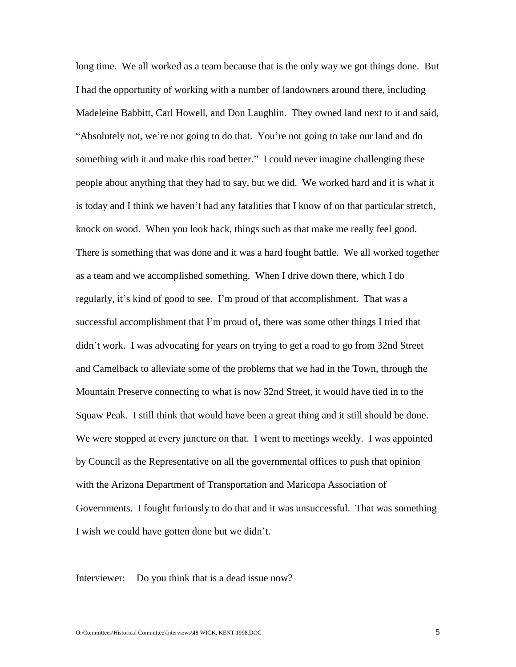long time. We all worked as a team because that is the only way we got things done. But I had the opportunity of working with a number of landowners around there, including Madeleine Babbitt, Carl Howell, and Don Laughlin. They owned land next to it and said, "Absolutely not, we're not going to do that. You're not going to take our land and do something with it and make this road better." I could never imagine challenging these people about anything that they had to say, but we did. We worked hard and it is what it is today and I think we haven't had any fatalities that I know of on that particular stretch, knock on wood. When you look back, things such as that make me really feel good. There is something that was done and it was a hard fought battle. We all worked together as a team and we accomplished something. When I drive down there, which I do regularly, it's kind of good to see. I'm proud of that accomplishment. That was a successful accomplishment that I'm proud of, there was some other things I tried that didn't work. I was advocating for years on trying to get a road to go from 32nd Street and Camelback to alleviate some of the problems that we had in the Town, through the Mountain Preserve connecting to what is now 32nd Street, it would have tied in to the Squaw Peak. I still think that would have been a great thing and it still should be done. We were stopped at every juncture on that. I went to meetings weekly. I was appointed by Council as the Representative on all the governmental offices to push that opinion with the Arizona Department of Transportation and Maricopa Association of Governments. I fought furiously to do that and it was unsuccessful. That was something I wish we could have gotten done but we didn't.

## Interviewer: Do you think that is a dead issue now?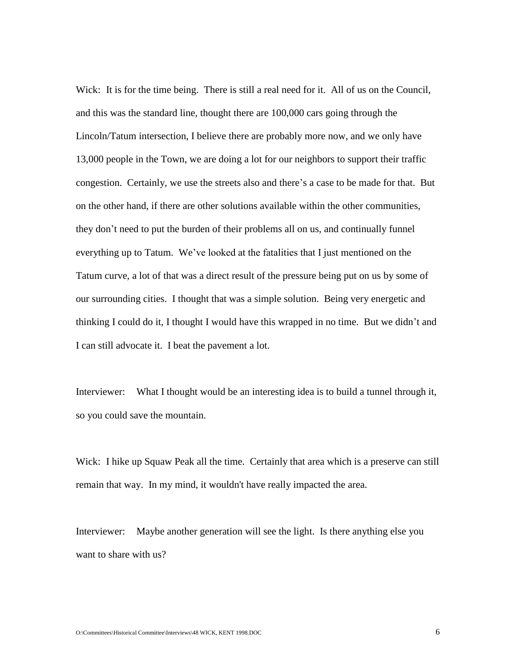Wick: It is for the time being. There is still a real need for it. All of us on the Council, and this was the standard line, thought there are 100,000 cars going through the Lincoln/Tatum intersection, I believe there are probably more now, and we only have 13,000 people in the Town, we are doing a lot for our neighbors to support their traffic congestion. Certainly, we use the streets also and there's a case to be made for that. But on the other hand, if there are other solutions available within the other communities, they don't need to put the burden of their problems all on us, and continually funnel everything up to Tatum. We've looked at the fatalities that I just mentioned on the Tatum curve, a lot of that was a direct result of the pressure being put on us by some of our surrounding cities. I thought that was a simple solution. Being very energetic and thinking I could do it, I thought I would have this wrapped in no time. But we didn't and I can still advocate it. I beat the pavement a lot.

Interviewer: What I thought would be an interesting idea is to build a tunnel through it, so you could save the mountain.

Wick: I hike up Squaw Peak all the time. Certainly that area which is a preserve can still remain that way. In my mind, it wouldn't have really impacted the area.

Interviewer: Maybe another generation will see the light. Is there anything else you want to share with us?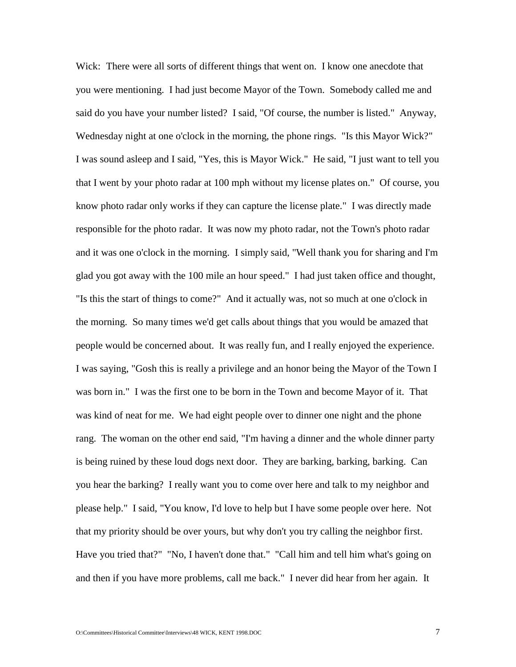Wick: There were all sorts of different things that went on. I know one anecdote that you were mentioning. I had just become Mayor of the Town. Somebody called me and said do you have your number listed? I said, "Of course, the number is listed." Anyway, Wednesday night at one o'clock in the morning, the phone rings. "Is this Mayor Wick?" I was sound asleep and I said, "Yes, this is Mayor Wick." He said, "I just want to tell you that I went by your photo radar at 100 mph without my license plates on." Of course, you know photo radar only works if they can capture the license plate." I was directly made responsible for the photo radar. It was now my photo radar, not the Town's photo radar and it was one o'clock in the morning. I simply said, "Well thank you for sharing and I'm glad you got away with the 100 mile an hour speed." I had just taken office and thought, "Is this the start of things to come?" And it actually was, not so much at one o'clock in the morning. So many times we'd get calls about things that you would be amazed that people would be concerned about. It was really fun, and I really enjoyed the experience. I was saying, "Gosh this is really a privilege and an honor being the Mayor of the Town I was born in." I was the first one to be born in the Town and become Mayor of it. That was kind of neat for me. We had eight people over to dinner one night and the phone rang. The woman on the other end said, "I'm having a dinner and the whole dinner party is being ruined by these loud dogs next door. They are barking, barking, barking. Can you hear the barking? I really want you to come over here and talk to my neighbor and please help." I said, "You know, I'd love to help but I have some people over here. Not that my priority should be over yours, but why don't you try calling the neighbor first. Have you tried that?" "No, I haven't done that." "Call him and tell him what's going on and then if you have more problems, call me back." I never did hear from her again. It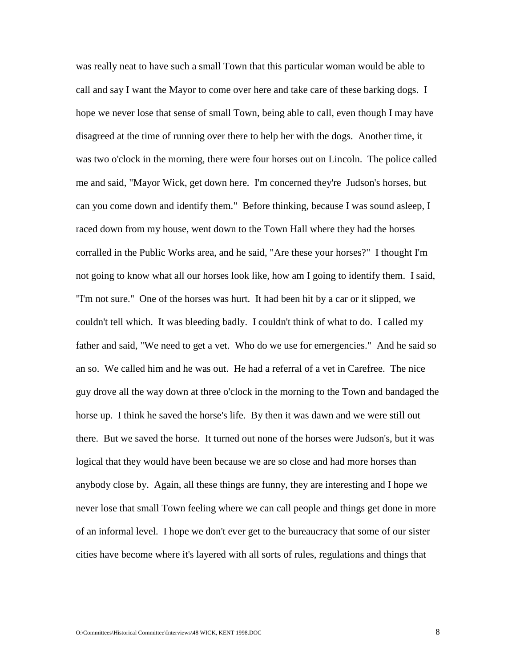was really neat to have such a small Town that this particular woman would be able to call and say I want the Mayor to come over here and take care of these barking dogs. I hope we never lose that sense of small Town, being able to call, even though I may have disagreed at the time of running over there to help her with the dogs. Another time, it was two o'clock in the morning, there were four horses out on Lincoln. The police called me and said, "Mayor Wick, get down here. I'm concerned they're Judson's horses, but can you come down and identify them." Before thinking, because I was sound asleep, I raced down from my house, went down to the Town Hall where they had the horses corralled in the Public Works area, and he said, "Are these your horses?" I thought I'm not going to know what all our horses look like, how am I going to identify them. I said, "I'm not sure." One of the horses was hurt. It had been hit by a car or it slipped, we couldn't tell which. It was bleeding badly. I couldn't think of what to do. I called my father and said, "We need to get a vet. Who do we use for emergencies." And he said so an so. We called him and he was out. He had a referral of a vet in Carefree. The nice guy drove all the way down at three o'clock in the morning to the Town and bandaged the horse up. I think he saved the horse's life. By then it was dawn and we were still out there. But we saved the horse. It turned out none of the horses were Judson's, but it was logical that they would have been because we are so close and had more horses than anybody close by. Again, all these things are funny, they are interesting and I hope we never lose that small Town feeling where we can call people and things get done in more of an informal level. I hope we don't ever get to the bureaucracy that some of our sister cities have become where it's layered with all sorts of rules, regulations and things that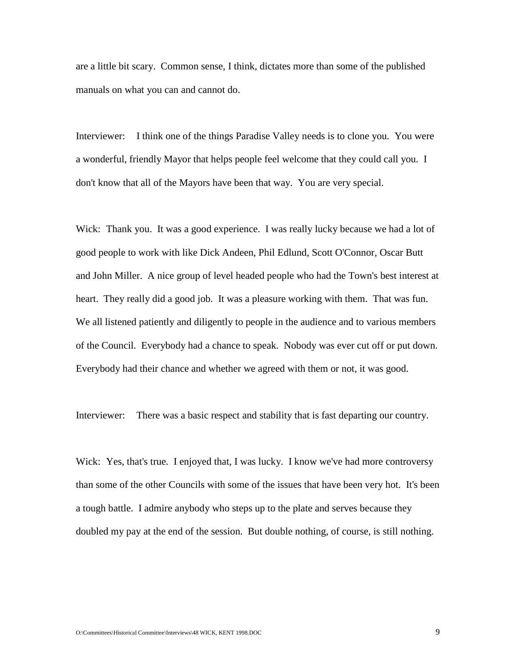are a little bit scary. Common sense, I think, dictates more than some of the published manuals on what you can and cannot do.

Interviewer: I think one of the things Paradise Valley needs is to clone you. You were a wonderful, friendly Mayor that helps people feel welcome that they could call you. I don't know that all of the Mayors have been that way. You are very special.

Wick: Thank you. It was a good experience. I was really lucky because we had a lot of good people to work with like Dick Andeen, Phil Edlund, Scott O'Connor, Oscar Butt and John Miller. A nice group of level headed people who had the Town's best interest at heart. They really did a good job. It was a pleasure working with them. That was fun. We all listened patiently and diligently to people in the audience and to various members of the Council. Everybody had a chance to speak. Nobody was ever cut off or put down. Everybody had their chance and whether we agreed with them or not, it was good.

Interviewer: There was a basic respect and stability that is fast departing our country.

Wick: Yes, that's true. I enjoyed that, I was lucky. I know we've had more controversy than some of the other Councils with some of the issues that have been very hot. It's been a tough battle. I admire anybody who steps up to the plate and serves because they doubled my pay at the end of the session. But double nothing, of course, is still nothing.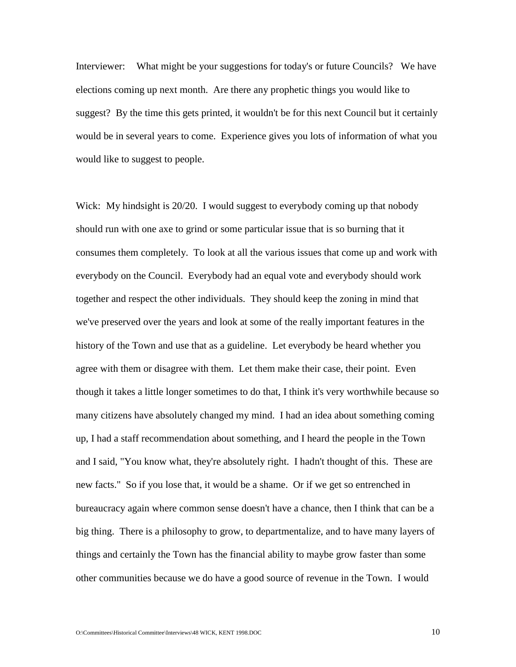Interviewer: What might be your suggestions for today's or future Councils? We have elections coming up next month. Are there any prophetic things you would like to suggest? By the time this gets printed, it wouldn't be for this next Council but it certainly would be in several years to come. Experience gives you lots of information of what you would like to suggest to people.

Wick: My hindsight is 20/20. I would suggest to everybody coming up that nobody should run with one axe to grind or some particular issue that is so burning that it consumes them completely. To look at all the various issues that come up and work with everybody on the Council. Everybody had an equal vote and everybody should work together and respect the other individuals. They should keep the zoning in mind that we've preserved over the years and look at some of the really important features in the history of the Town and use that as a guideline. Let everybody be heard whether you agree with them or disagree with them. Let them make their case, their point. Even though it takes a little longer sometimes to do that, I think it's very worthwhile because so many citizens have absolutely changed my mind. I had an idea about something coming up, I had a staff recommendation about something, and I heard the people in the Town and I said, "You know what, they're absolutely right. I hadn't thought of this. These are new facts." So if you lose that, it would be a shame. Or if we get so entrenched in bureaucracy again where common sense doesn't have a chance, then I think that can be a big thing. There is a philosophy to grow, to departmentalize, and to have many layers of things and certainly the Town has the financial ability to maybe grow faster than some other communities because we do have a good source of revenue in the Town. I would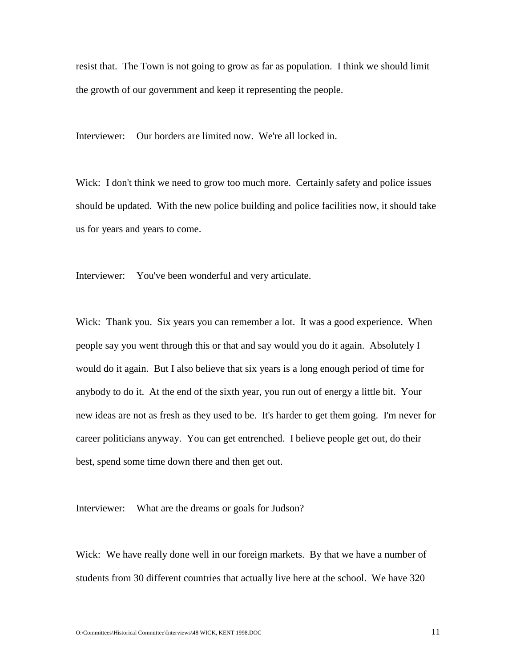resist that. The Town is not going to grow as far as population. I think we should limit the growth of our government and keep it representing the people.

Interviewer: Our borders are limited now. We're all locked in.

Wick: I don't think we need to grow too much more. Certainly safety and police issues should be updated. With the new police building and police facilities now, it should take us for years and years to come.

Interviewer: You've been wonderful and very articulate.

Wick: Thank you. Six years you can remember a lot. It was a good experience. When people say you went through this or that and say would you do it again. Absolutely I would do it again. But I also believe that six years is a long enough period of time for anybody to do it. At the end of the sixth year, you run out of energy a little bit. Your new ideas are not as fresh as they used to be. It's harder to get them going. I'm never for career politicians anyway. You can get entrenched. I believe people get out, do their best, spend some time down there and then get out.

Interviewer: What are the dreams or goals for Judson?

Wick: We have really done well in our foreign markets. By that we have a number of students from 30 different countries that actually live here at the school. We have 320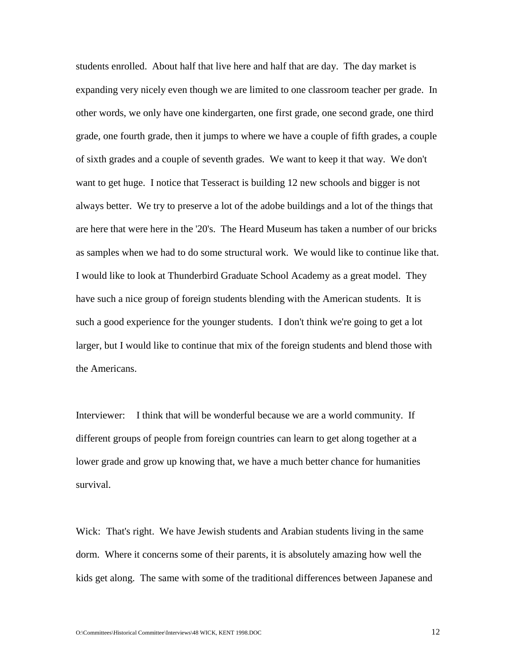students enrolled. About half that live here and half that are day. The day market is expanding very nicely even though we are limited to one classroom teacher per grade. In other words, we only have one kindergarten, one first grade, one second grade, one third grade, one fourth grade, then it jumps to where we have a couple of fifth grades, a couple of sixth grades and a couple of seventh grades. We want to keep it that way. We don't want to get huge. I notice that Tesseract is building 12 new schools and bigger is not always better. We try to preserve a lot of the adobe buildings and a lot of the things that are here that were here in the '20's. The Heard Museum has taken a number of our bricks as samples when we had to do some structural work. We would like to continue like that. I would like to look at Thunderbird Graduate School Academy as a great model. They have such a nice group of foreign students blending with the American students. It is such a good experience for the younger students. I don't think we're going to get a lot larger, but I would like to continue that mix of the foreign students and blend those with the Americans.

Interviewer: I think that will be wonderful because we are a world community. If different groups of people from foreign countries can learn to get along together at a lower grade and grow up knowing that, we have a much better chance for humanities survival.

Wick: That's right. We have Jewish students and Arabian students living in the same dorm. Where it concerns some of their parents, it is absolutely amazing how well the kids get along. The same with some of the traditional differences between Japanese and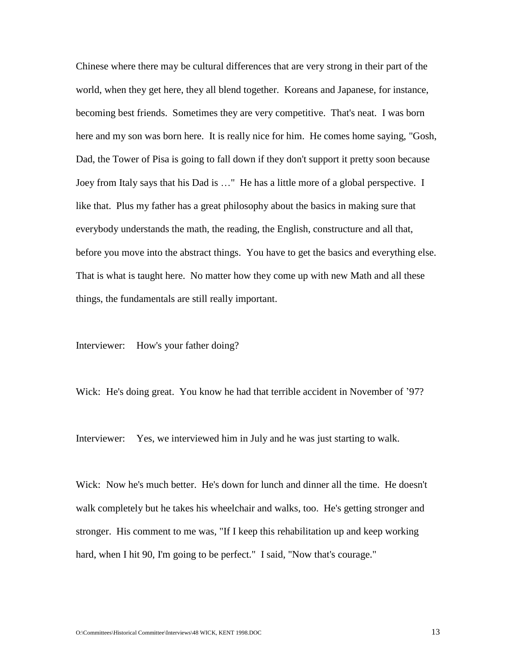Chinese where there may be cultural differences that are very strong in their part of the world, when they get here, they all blend together. Koreans and Japanese, for instance, becoming best friends. Sometimes they are very competitive. That's neat. I was born here and my son was born here. It is really nice for him. He comes home saying, "Gosh, Dad, the Tower of Pisa is going to fall down if they don't support it pretty soon because Joey from Italy says that his Dad is …" He has a little more of a global perspective. I like that. Plus my father has a great philosophy about the basics in making sure that everybody understands the math, the reading, the English, constructure and all that, before you move into the abstract things. You have to get the basics and everything else. That is what is taught here. No matter how they come up with new Math and all these things, the fundamentals are still really important.

Interviewer: How's your father doing?

Wick: He's doing great. You know he had that terrible accident in November of '97?

Interviewer: Yes, we interviewed him in July and he was just starting to walk.

Wick: Now he's much better. He's down for lunch and dinner all the time. He doesn't walk completely but he takes his wheelchair and walks, too. He's getting stronger and stronger. His comment to me was, "If I keep this rehabilitation up and keep working hard, when I hit 90, I'm going to be perfect." I said, "Now that's courage."